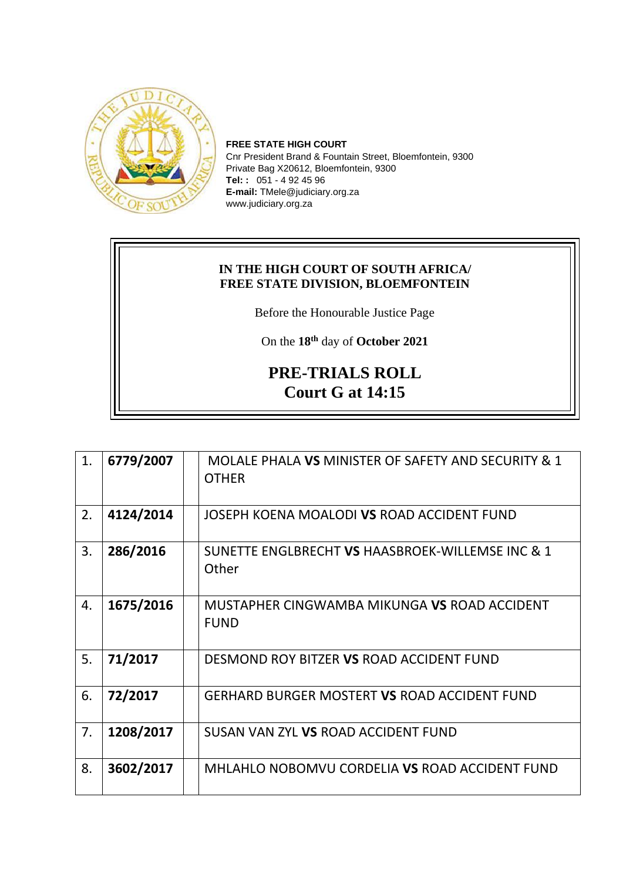

**FREE STATE HIGH COURT** Cnr President Brand & Fountain Street, Bloemfontein, 9300 Private Bag X20612, Bloemfontein, 9300 **Tel: :** 051 - 4 92 45 96 **E-mail:** TMele@judiciary.org.za www.judiciary.org.za

## **IN THE HIGH COURT OF SOUTH AFRICA/ FREE STATE DIVISION, BLOEMFONTEIN**

Before the Honourable Justice Page

On the **18th** day of **October 2021**

## **PRE-TRIALS ROLL Court G at 14:15**

| 1. | 6779/2007 | MOLALE PHALA VS MINISTER OF SAFETY AND SECURITY & 1<br><b>OTHER</b> |
|----|-----------|---------------------------------------------------------------------|
| 2. | 4124/2014 | JOSEPH KOENA MOALODI VS ROAD ACCIDENT FUND                          |
| 3. | 286/2016  | SUNETTE ENGLBRECHT VS HAASBROEK-WILLEMSE INC & 1<br>Other           |
| 4. | 1675/2016 | MUSTAPHER CINGWAMBA MIKUNGA VS ROAD ACCIDENT<br><b>FUND</b>         |
| 5. | 71/2017   | DESMOND ROY BITZER VS ROAD ACCIDENT FUND                            |
| 6. | 72/2017   | <b>GERHARD BURGER MOSTERT VS ROAD ACCIDENT FUND</b>                 |
| 7. | 1208/2017 | SUSAN VAN ZYL VS ROAD ACCIDENT FUND                                 |
| 8. | 3602/2017 | MHLAHLO NOBOMVU CORDELIA VS ROAD ACCIDENT FUND                      |